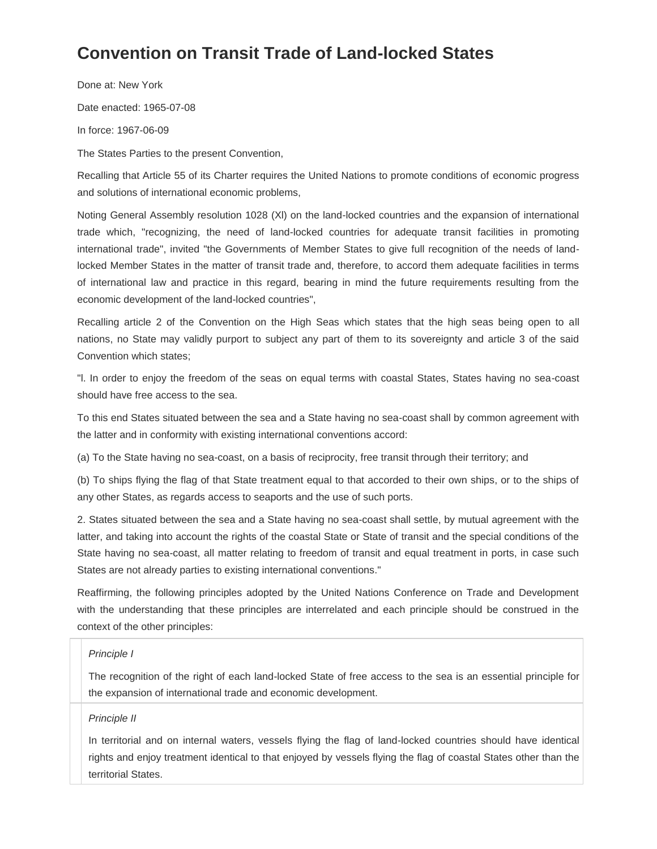# **Convention on Transit Trade of Land-locked States**

Done at: New York

Date enacted: 1965-07-08

In force: 1967-06-09

The States Parties to the present Convention,

Recalling that Article 55 of its Charter requires the United Nations to promote conditions of economic progress and solutions of international economic problems,

Noting General Assembly resolution 1028 (Xl) on the land-locked countries and the expansion of international trade which, "recognizing, the need of land-locked countries for adequate transit facilities in promoting international trade", invited "the Governments of Member States to give full recognition of the needs of landlocked Member States in the matter of transit trade and, therefore, to accord them adequate facilities in terms of international law and practice in this regard, bearing in mind the future requirements resulting from the economic development of the land-locked countries",

Recalling article 2 of the Convention on the High Seas which states that the high seas being open to all nations, no State may validly purport to subject any part of them to its sovereignty and article 3 of the said Convention which states;

"l. In order to enjoy the freedom of the seas on equal terms with coastal States, States having no sea-coast should have free access to the sea.

To this end States situated between the sea and a State having no sea-coast shall by common agreement with the latter and in conformity with existing international conventions accord:

(a) To the State having no sea-coast, on a basis of reciprocity, free transit through their territory; and

(b) To ships flying the flag of that State treatment equal to that accorded to their own ships, or to the ships of any other States, as regards access to seaports and the use of such ports.

2. States situated between the sea and a State having no sea-coast shall settle, by mutual agreement with the latter, and taking into account the rights of the coastal State or State of transit and the special conditions of the State having no sea-coast, all matter relating to freedom of transit and equal treatment in ports, in case such States are not already parties to existing international conventions."

Reaffirming, the following principles adopted by the United Nations Conference on Trade and Development with the understanding that these principles are interrelated and each principle should be construed in the context of the other principles:

## *Principle I*

The recognition of the right of each land-locked State of free access to the sea is an essential principle for the expansion of international trade and economic development.

## *Principle II*

In territorial and on internal waters, vessels flying the flag of land-locked countries should have identical rights and enjoy treatment identical to that enjoyed by vessels flying the flag of coastal States other than the territorial States.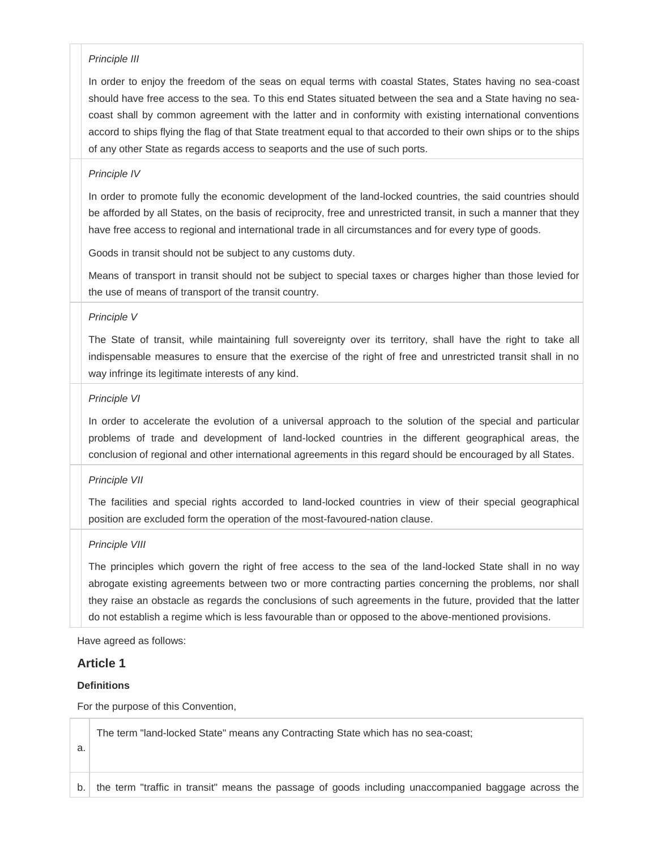#### *Principle III*

In order to enjoy the freedom of the seas on equal terms with coastal States, States having no sea-coast should have free access to the sea. To this end States situated between the sea and a State having no seacoast shall by common agreement with the latter and in conformity with existing international conventions accord to ships flying the flag of that State treatment equal to that accorded to their own ships or to the ships of any other State as regards access to seaports and the use of such ports.

#### *Principle IV*

In order to promote fully the economic development of the land-locked countries, the said countries should be afforded by all States, on the basis of reciprocity, free and unrestricted transit, in such a manner that they have free access to regional and international trade in all circumstances and for every type of goods.

Goods in transit should not be subject to any customs duty.

Means of transport in transit should not be subject to special taxes or charges higher than those levied for the use of means of transport of the transit country.

#### *Principle V*

The State of transit, while maintaining full sovereignty over its territory, shall have the right to take all indispensable measures to ensure that the exercise of the right of free and unrestricted transit shall in no way infringe its legitimate interests of any kind.

#### *Principle VI*

In order to accelerate the evolution of a universal approach to the solution of the special and particular problems of trade and development of land-locked countries in the different geographical areas, the conclusion of regional and other international agreements in this regard should be encouraged by all States.

#### *Principle VII*

The facilities and special rights accorded to land-locked countries in view of their special geographical position are excluded form the operation of the most-favoured-nation clause.

## *Principle VIII*

The principles which govern the right of free access to the sea of the land-locked State shall in no way abrogate existing agreements between two or more contracting parties concerning the problems, nor shall they raise an obstacle as regards the conclusions of such agreements in the future, provided that the latter do not establish a regime which is less favourable than or opposed to the above-mentioned provisions.

Have agreed as follows:

## **Article 1**

## **Definitions**

For the purpose of this Convention,

The term "land-locked State" means any Contracting State which has no sea-coast;

a.

b. the term "traffic in transit" means the passage of goods including unaccompanied baggage across the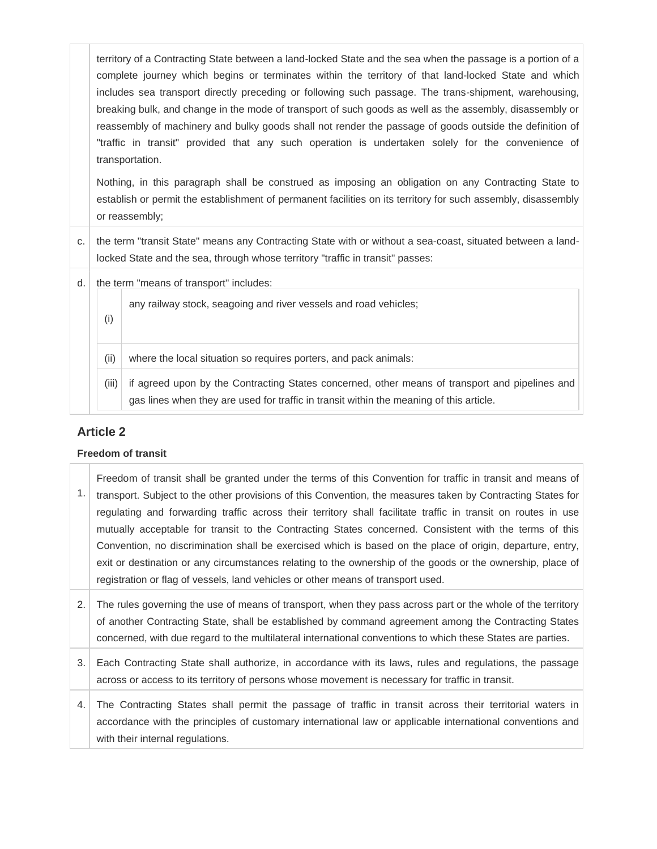territory of a Contracting State between a land-locked State and the sea when the passage is a portion of a complete journey which begins or terminates within the territory of that land-locked State and which includes sea transport directly preceding or following such passage. The trans-shipment, warehousing, breaking bulk, and change in the mode of transport of such goods as well as the assembly, disassembly or reassembly of machinery and bulky goods shall not render the passage of goods outside the definition of "traffic in transit" provided that any such operation is undertaken solely for the convenience of transportation.

Nothing, in this paragraph shall be construed as imposing an obligation on any Contracting State to establish or permit the establishment of permanent facilities on its territory for such assembly, disassembly or reassembly;

- c. the term "transit State" means any Contracting State with or without a sea-coast, situated between a landlocked State and the sea, through whose territory "traffic in transit" passes:
- d. the term "means of transport" includes:

| (i)   | any railway stock, seagoing and river vessels and road vehicles;                                                                                                                          |
|-------|-------------------------------------------------------------------------------------------------------------------------------------------------------------------------------------------|
| (ii)  | where the local situation so requires porters, and pack animals:                                                                                                                          |
| (iii) | if agreed upon by the Contracting States concerned, other means of transport and pipelines and<br>gas lines when they are used for traffic in transit within the meaning of this article. |

## **Article 2**

#### **Freedom of transit**

- 1. Freedom of transit shall be granted under the terms of this Convention for traffic in transit and means of transport. Subject to the other provisions of this Convention, the measures taken by Contracting States for regulating and forwarding traffic across their territory shall facilitate traffic in transit on routes in use mutually acceptable for transit to the Contracting States concerned. Consistent with the terms of this Convention, no discrimination shall be exercised which is based on the place of origin, departure, entry, exit or destination or any circumstances relating to the ownership of the goods or the ownership, place of registration or flag of vessels, land vehicles or other means of transport used.
- 2. The rules governing the use of means of transport, when they pass across part or the whole of the territory of another Contracting State, shall be established by command agreement among the Contracting States concerned, with due regard to the multilateral international conventions to which these States are parties.
- 3. Each Contracting State shall authorize, in accordance with its laws, rules and regulations, the passage across or access to its territory of persons whose movement is necessary for traffic in transit.
- 4. The Contracting States shall permit the passage of traffic in transit across their territorial waters in accordance with the principles of customary international law or applicable international conventions and with their internal regulations.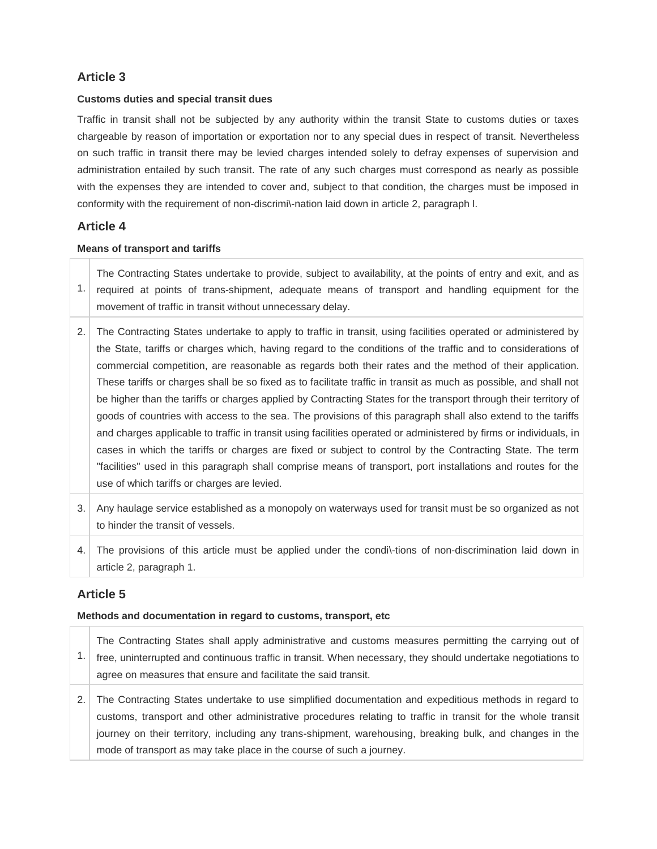#### **Customs duties and special transit dues**

Traffic in transit shall not be subjected by any authority within the transit State to customs duties or taxes chargeable by reason of importation or exportation nor to any special dues in respect of transit. Nevertheless on such traffic in transit there may be levied charges intended solely to defray expenses of supervision and administration entailed by such transit. The rate of any such charges must correspond as nearly as possible with the expenses they are intended to cover and, subject to that condition, the charges must be imposed in conformity with the requirement of non-discrimi\-nation laid down in article 2, paragraph l.

## **Article 4**

#### **Means of transport and tariffs**

- 1. The Contracting States undertake to provide, subject to availability, at the points of entry and exit, and as required at points of trans-shipment, adequate means of transport and handling equipment for the movement of traffic in transit without unnecessary delay.
- 2. The Contracting States undertake to apply to traffic in transit, using facilities operated or administered by the State, tariffs or charges which, having regard to the conditions of the traffic and to considerations of commercial competition, are reasonable as regards both their rates and the method of their application. These tariffs or charges shall be so fixed as to facilitate traffic in transit as much as possible, and shall not be higher than the tariffs or charges applied by Contracting States for the transport through their territory of goods of countries with access to the sea. The provisions of this paragraph shall also extend to the tariffs and charges applicable to traffic in transit using facilities operated or administered by firms or individuals, in cases in which the tariffs or charges are fixed or subject to control by the Contracting State. The term "facilities" used in this paragraph shall comprise means of transport, port installations and routes for the use of which tariffs or charges are levied.
- 3. Any haulage service established as a monopoly on waterways used for transit must be so organized as not to hinder the transit of vessels.
- 4. The provisions of this article must be applied under the condi\-tions of non-discrimination laid down in article 2, paragraph 1.

## **Article 5**

#### **Methods and documentation in regard to customs, transport, etc**

| The Contracting States shall apply administrative and customs measures permitting the carrying out of<br>free, uninterrupted and continuous traffic in transit. When necessary, they should undertake negotiations to<br>agree on measures that ensure and facilitate the said transit.                                                                                                                  |
|----------------------------------------------------------------------------------------------------------------------------------------------------------------------------------------------------------------------------------------------------------------------------------------------------------------------------------------------------------------------------------------------------------|
| The Contracting States undertake to use simplified documentation and expeditious methods in regard to<br>customs, transport and other administrative procedures relating to traffic in transit for the whole transit<br>journey on their territory, including any trans-shipment, warehousing, breaking bulk, and changes in the<br>mode of transport as may take place in the course of such a journey. |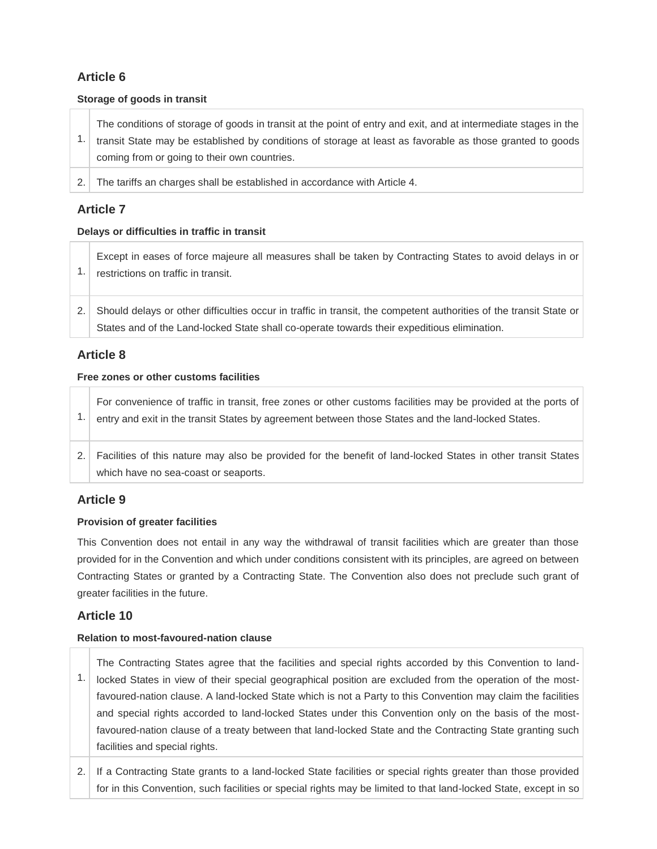## **Storage of goods in transit**

| The conditions of storage of goods in transit at the point of entry and exit, and at intermediate stages in the<br>transit State may be established by conditions of storage at least as favorable as those granted to goods<br>coming from or going to their own countries. |
|------------------------------------------------------------------------------------------------------------------------------------------------------------------------------------------------------------------------------------------------------------------------------|
| The tariffs an charges shall be established in accordance with Article 4.                                                                                                                                                                                                    |

# **Article 7**

## **Delays or difficulties in traffic in transit**

| Except in eases of force majeure all measures shall be taken by Contracting States to avoid delays in or<br>restrictions on traffic in transit.                                                                   |
|-------------------------------------------------------------------------------------------------------------------------------------------------------------------------------------------------------------------|
| Should delays or other difficulties occur in traffic in transit, the competent authorities of the transit State or<br>States and of the Land-locked State shall co-operate towards their expeditious elimination. |

# **Article 8**

#### **Free zones or other customs facilities**

1. For convenience of traffic in transit, free zones or other customs facilities may be provided at the ports of entry and exit in the transit States by agreement between those States and the land-locked States.

2. Facilities of this nature may also be provided for the benefit of land-locked States in other transit States which have no sea-coast or seaports.

## **Article 9**

## **Provision of greater facilities**

This Convention does not entail in any way the withdrawal of transit facilities which are greater than those provided for in the Convention and which under conditions consistent with its principles, are agreed on between Contracting States or granted by a Contracting State. The Convention also does not preclude such grant of greater facilities in the future.

## **Article 10**

## **Relation to most-favoured-nation clause**

- 1. The Contracting States agree that the facilities and special rights accorded by this Convention to landlocked States in view of their special geographical position are excluded from the operation of the mostfavoured-nation clause. A land-locked State which is not a Party to this Convention may claim the facilities and special rights accorded to land-locked States under this Convention only on the basis of the mostfavoured-nation clause of a treaty between that land-locked State and the Contracting State granting such facilities and special rights.
- 2. If a Contracting State grants to a land-locked State facilities or special rights greater than those provided for in this Convention, such facilities or special rights may be limited to that land-locked State, except in so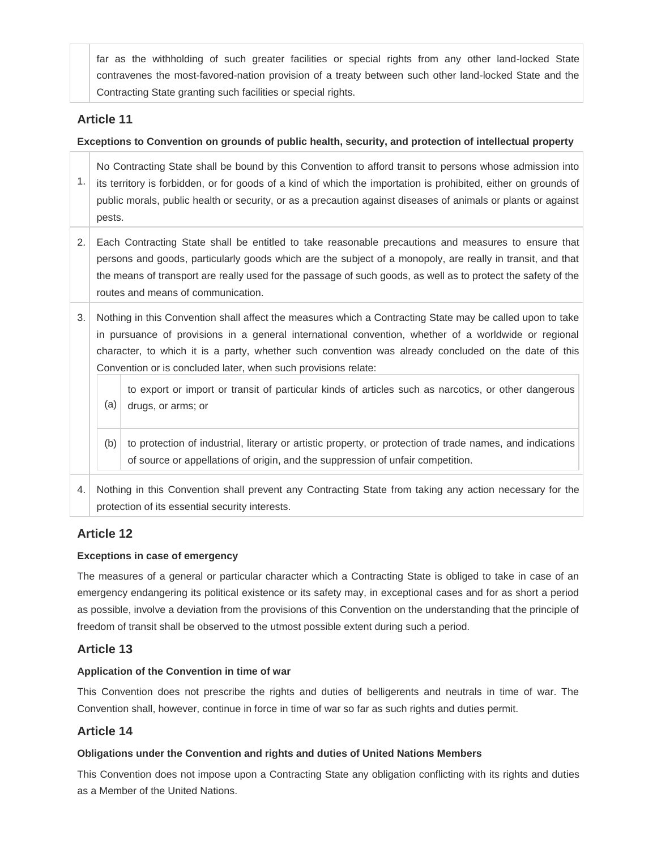far as the withholding of such greater facilities or special rights from any other land-locked State contravenes the most-favored-nation provision of a treaty between such other land-locked State and the Contracting State granting such facilities or special rights.

## **Article 11**

## **Exceptions to Convention on grounds of public health, security, and protection of intellectual property**

1. No Contracting State shall be bound by this Convention to afford transit to persons whose admission into its territory is forbidden, or for goods of a kind of which the importation is prohibited, either on grounds of public morals, public health or security, or as a precaution against diseases of animals or plants or against pests.

- 2. Each Contracting State shall be entitled to take reasonable precautions and measures to ensure that persons and goods, particularly goods which are the subject of a monopoly, are really in transit, and that the means of transport are really used for the passage of such goods, as well as to protect the safety of the routes and means of communication.
- 3. Nothing in this Convention shall affect the measures which a Contracting State may be called upon to take in pursuance of provisions in a general international convention, whether of a worldwide or regional character, to which it is a party, whether such convention was already concluded on the date of this Convention or is concluded later, when such provisions relate:

(a) to export or import or transit of particular kinds of articles such as narcotics, or other dangerous drugs, or arms; or

- (b) to protection of industrial, literary or artistic property, or protection of trade names, and indications of source or appellations of origin, and the suppression of unfair competition.
- 4. Nothing in this Convention shall prevent any Contracting State from taking any action necessary for the protection of its essential security interests.

# **Article 12**

## **Exceptions in case of emergency**

The measures of a general or particular character which a Contracting State is obliged to take in case of an emergency endangering its political existence or its safety may, in exceptional cases and for as short a period as possible, involve a deviation from the provisions of this Convention on the understanding that the principle of freedom of transit shall be observed to the utmost possible extent during such a period.

# **Article 13**

## **Application of the Convention in time of war**

This Convention does not prescribe the rights and duties of belligerents and neutrals in time of war. The Convention shall, however, continue in force in time of war so far as such rights and duties permit.

# **Article 14**

## **Obligations under the Convention and rights and duties of United Nations Members**

This Convention does not impose upon a Contracting State any obligation conflicting with its rights and duties as a Member of the United Nations.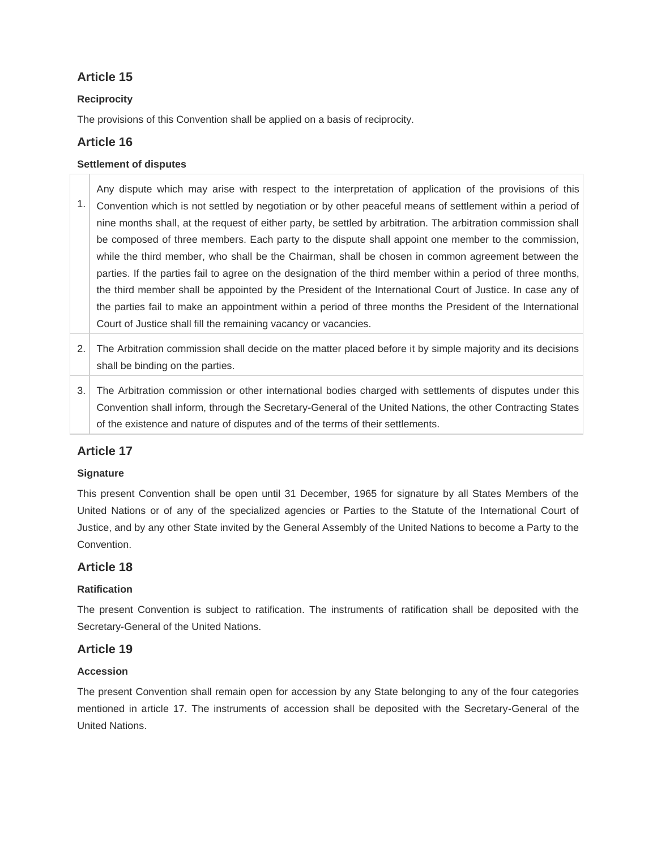## **Reciprocity**

The provisions of this Convention shall be applied on a basis of reciprocity.

# **Article 16**

#### **Settlement of disputes**

- 1. Any dispute which may arise with respect to the interpretation of application of the provisions of this Convention which is not settled by negotiation or by other peaceful means of settlement within a period of nine months shall, at the request of either party, be settled by arbitration. The arbitration commission shall be composed of three members. Each party to the dispute shall appoint one member to the commission, while the third member, who shall be the Chairman, shall be chosen in common agreement between the parties. If the parties fail to agree on the designation of the third member within a period of three months, the third member shall be appointed by the President of the International Court of Justice. In case any of the parties fail to make an appointment within a period of three months the President of the International Court of Justice shall fill the remaining vacancy or vacancies.
- 2. The Arbitration commission shall decide on the matter placed before it by simple majority and its decisions shall be binding on the parties.
- 3. The Arbitration commission or other international bodies charged with settlements of disputes under this Convention shall inform, through the Secretary-General of the United Nations, the other Contracting States of the existence and nature of disputes and of the terms of their settlements.

# **Article 17**

## **Signature**

This present Convention shall be open until 31 December, 1965 for signature by all States Members of the United Nations or of any of the specialized agencies or Parties to the Statute of the International Court of Justice, and by any other State invited by the General Assembly of the United Nations to become a Party to the Convention.

## **Article 18**

## **Ratification**

The present Convention is subject to ratification. The instruments of ratification shall be deposited with the Secretary-General of the United Nations.

## **Article 19**

#### **Accession**

The present Convention shall remain open for accession by any State belonging to any of the four categories mentioned in article 17. The instruments of accession shall be deposited with the Secretary-General of the United Nations.